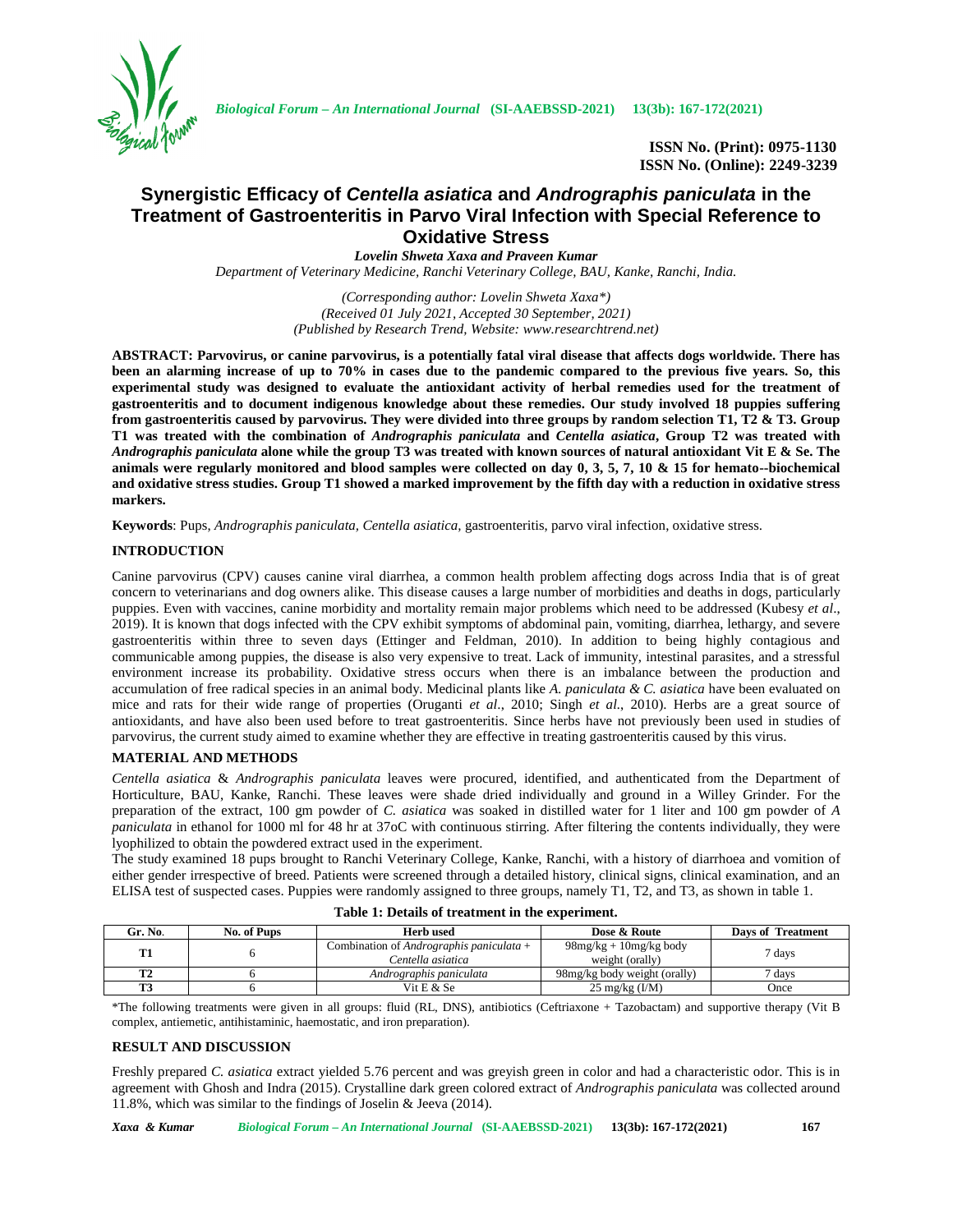

**ISSN No. (Print): 0975-1130 ISSN No. (Online): 2249-3239**

# **Synergistic Efficacy of** *Centella asiatica* **and** *Andrographis paniculata* **in the Treatment of Gastroenteritis in Parvo ViralInfection with Special Reference to Oxidative Stress**

*Lovelin Shweta Xaxa and Praveen Kumar*

*Department of Veterinary Medicine, Ranchi Veterinary College, BAU, Kanke, Ranchi, India.*

*(Corresponding author: Lovelin Shweta Xaxa\*) (Received 01 July 2021, Accepted 30 September, 2021) (Published by Research Trend, Website: <www.researchtrend.net>)*

**ABSTRACT: Parvovirus, or canine parvovirus, is a potentially fatal viral disease that affects dogs worldwide. There has been an alarming increase of up to 70% in cases due to the pandemic compared to the previous five years. So, this experimental study was designed to evaluate the antioxidant activity of herbal remedies used for the treatment of gastroenteritis and to document indigenous knowledge about these remedies. Our study involved 18 puppies suffering from gastroenteritis caused by parvovirus. They were divided into three groups by random selection T1, T2 & T3. Group T1 was treated with the combination of** *Andrographis paniculata* **and** *Centella asiatica***, Group T2 was treated with** *Andrographis paniculata* **alone while the group T3 was treated with known sources of natural antioxidant Vit E & Se. The animals were regularly monitored and blood samples were collected on day 0, 3, 5, 7, 10 & 15 for hemato--biochemical and oxidative stress studies. Group T1 showed a marked improvement by the fifth day with a reduction in oxidative stress markers.**

**Keywords**: Pups, *Andrographis paniculata, Centella asiatica,* gastroenteritis, parvo viral infection, oxidative stress.

### **INTRODUCTION**

Canine parvovirus (CPV) causes canine viral diarrhea, a common health problem affecting dogs across India that is of great concern to veterinarians and dog owners alike. This disease causes a large number of morbidities and deaths in dogs, particularly puppies. Even with vaccines, canine morbidity and mortality remain major problems which need to be addressed (Kubesy *et al*., 2019). It is known that dogs infected with the CPV exhibit symptoms of abdominal pain, vomiting, diarrhea, lethargy, and severe gastroenteritis within three to seven days (Ettinger and Feldman, 2010). In addition to being highly contagious and communicable among puppies, the disease is also very expensive to treat. Lack of immunity, intestinal parasites, and a stressful environment increase its probability. Oxidative stress occurs when there is an imbalance between the production and accumulation of free radical species in an animal body. Medicinal plants like *A. paniculata & C. asiatica* have been evaluated on mice and rats for their wide range of properties (Oruganti *et al*., 2010; Singh *et al.*, 2010). Herbs are a great source of antioxidants, and have also been used before to treat gastroenteritis. Since herbs have not previously been used in studies of parvovirus, the current study aimed to examine whether they are effective in treating gastroenteritis caused by this virus.

## **MATERIAL AND METHODS**

*Centella asiatica* & *Andrographis paniculata* leaves were procured, identified, and authenticated from the Department of Horticulture, BAU, Kanke, Ranchi. These leaves were shade dried individually and ground in a Willey Grinder. For the preparation of the extract, 100 gm powder of *C. asiatica* was soaked in distilled water for 1 liter and 100 gm powder of *A paniculata* in ethanol for 1000 ml for 48 hr at 37oC with continuous stirring. After filtering the contents individually, they were lyophilized to obtain the powdered extract used in the experiment.

The study examined 18 pups brought to Ranchi Veterinary College, Kanke, Ranchi, with a history of diarrhoea and vomition of either gender irrespective of breed. Patients were screened through a detailed history, clinical signs, clinical examination, and an ELISA test of suspected cases. Puppies were randomly assigned to three groups, namely T1, T2, and T3, as shown in table 1.

| Gr. No. | No. of Pups | Herb used                                                            | Dose & Route                                | Days of Treatment |
|---------|-------------|----------------------------------------------------------------------|---------------------------------------------|-------------------|
|         |             | Combination of <i>Andrographis paniculata</i> +<br>Centella asiatica | $98mg/kg + 10mg/kg$ body<br>weight (orally) | 7 days            |
|         |             | Andrographis paniculata                                              | 98 mg/kg body weight (orally)               | 7 davs            |
|         |             | Vit $E & S$ e                                                        | $25 \text{ mg/kg}$ (I/M)                    | Once              |

| Table 1: Details of treatment in the experiment. |  |  |
|--------------------------------------------------|--|--|
|--------------------------------------------------|--|--|

\*The following treatments were given in all groups: fluid (RL, DNS), antibiotics (Ceftriaxone + Tazobactam) and supportive therapy (Vit B complex, antiemetic, antihistaminic, haemostatic, and iron preparation).

#### **RESULT AND DISCUSSION**

Freshly prepared *C. asiatica* extract yielded 5.76 percent and was greyish green in color and had a characteristic odor. This is in agreement with Ghosh and Indra (2015). Crystalline dark green colored extract of *Andrographis paniculata* was collected around 11.8%, which was similar to the findings of Joselin & Jeeva (2014).

*Xaxa & Kumar Biological Forum – An International Journal* **(SI-AAEBSSD-2021) 13(3b): 167-172(2021) 167**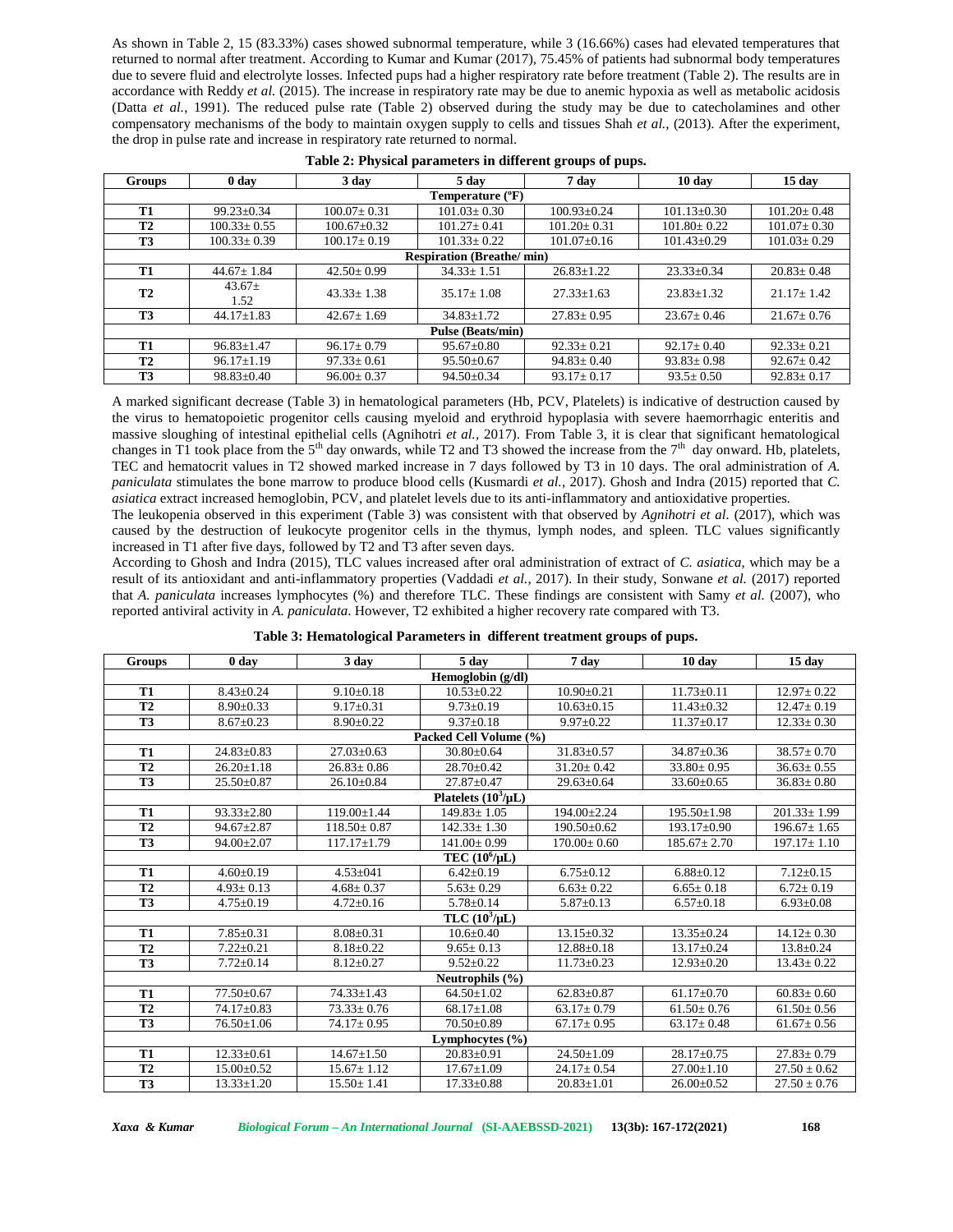As shown in Table 2, 15 (83.33%) cases showed subnormal temperature, while 3 (16.66%) cases had elevated temperatures that returned to normal after treatment. According to Kumar and Kumar (2017), 75.45% of patients had subnormal body temperatures due to severe fluid and electrolyte losses. Infected pups had a higher respiratory rate before treatment (Table 2). The results are in accordance with Reddy *et al.* (2015). The increase in respiratory rate may be due to anemic hypoxia as well as metabolic acidosis (Datta *et al.*, 1991). The reduced pulse rate (Table 2) observed during the study may be due to catecholamines and other compensatory mechanisms of the body to maintain oxygen supply to cells and tissues Shah *et al.,* (2013). After the experiment, the drop in pulse rate and increase in respiratory rate returned to normal.

| <b>Groups</b>            | 0 <sub>day</sub>                 | 3 day             | 5 day             | 7 day             | $10 \text{ day}$  | 15 day            |  |
|--------------------------|----------------------------------|-------------------|-------------------|-------------------|-------------------|-------------------|--|
| Temperature (°F)         |                                  |                   |                   |                   |                   |                   |  |
| <b>T1</b>                | $99.23 + 0.34$                   | $100.07 \pm 0.31$ | $101.03 + 0.30$   | $100.93 + 0.24$   | $101.13 + 0.30$   | $101.20 \pm 0.48$ |  |
| <b>T2</b>                | $100.33 \pm 0.55$                | $100.67 \pm 0.32$ | $101.27 + 0.41$   | $101.20 \pm 0.31$ | $101.80 \pm 0.22$ | $101.07 \pm 0.30$ |  |
| <b>T3</b>                | $100.33 \pm 0.39$                | $100.17 \pm 0.19$ | $101.33 \pm 0.22$ | $101.07 \pm 0.16$ | $101.43 \pm 0.29$ | $101.03 \pm 0.29$ |  |
|                          | <b>Respiration (Breathe/min)</b> |                   |                   |                   |                   |                   |  |
| <b>T1</b>                | $44.67 \pm 1.84$                 | $42.50 \pm 0.99$  | $34.33 \pm 1.51$  | $26.83 \pm 1.22$  | $23.33 \pm 0.34$  | $20.83 \pm 0.48$  |  |
| <b>T2</b>                | $43.67+$<br>1.52                 | $43.33 + 1.38$    | $35.17 + 1.08$    | $27.33 \pm 1.63$  | $23.83 + 1.32$    | $21.17+1.42$      |  |
| <b>T3</b>                | $44.17 \pm 1.83$                 | $42.67 \pm 1.69$  | $34.83 \pm 1.72$  | $27.83 \pm 0.95$  | $23.67 \pm 0.46$  | $21.67 \pm 0.76$  |  |
| <b>Pulse (Beats/min)</b> |                                  |                   |                   |                   |                   |                   |  |
| <b>T1</b>                | $96.83 \pm 1.47$                 | $96.17 \pm 0.79$  | $95.67 \pm 0.80$  | $92.33 \pm 0.21$  | $92.17 \pm 0.40$  | $92.33 \pm 0.21$  |  |
| <b>T2</b>                | $96.17 \pm 1.19$                 | $97.33 \pm 0.61$  | $95.50 \pm 0.67$  | $94.83 \pm 0.40$  | $93.83 \pm 0.98$  | $92.67 \pm 0.42$  |  |
| T3                       | $98.83 \pm 0.40$                 | $96.00 \pm 0.37$  | $94.50 \pm 0.34$  | $93.17 \pm 0.17$  | $93.5 \pm 0.50$   | $92.83 \pm 0.17$  |  |

| Table 2: Physical parameters in different groups of pups. |  |  |
|-----------------------------------------------------------|--|--|
|                                                           |  |  |

A marked significant decrease (Table 3) in hematological parameters (Hb, PCV, Platelets) is indicative of destruction caused by the virus to hematopoietic progenitor cells causing myeloid and erythroid hypoplasia with severe haemorrhagic enteritis and massive sloughing of intestinal epithelial cells (Agnihotri *et al.,* 2017). From Table 3, it is clear that significant hematological changes in T1 took place from the 5<sup>th</sup> day onwards, while T2 and T3 showed the increase from the 7<sup>th</sup> day onward. Hb, platelets, TEC and hematocrit values in T2 showed marked increase in 7 days followed by T3 in 10 days. The oral administration of *A. paniculata* stimulates the bone marrow to produce blood cells (Kusmardi *et al.*, 2017). Ghosh and Indra (2015) reported that *C. asiatica* extract increased hemoglobin, PCV, and platelet levels due to its anti-inflammatory and antioxidative properties*.*

The leukopenia observed in this experiment (Table 3) was consistent with that observed by *Agnihotri et al.* (2017), which was caused by the destruction of leukocyte progenitor cells in the thymus, lymph nodes, and spleen. TLC values significantly increased in T1 after five days, followed by T2 and T3 after seven days.

According to Ghosh and Indra (2015), TLC values increased after oral administration of extract of *C. asiatica*, which may be a result of its antioxidant and anti-inflammatory properties (Vaddadi *et al.*, 2017). In their study, Sonwane *et al.* (2017) reported that *A. paniculata* increases lymphocytes (%) and therefore TLC. These findings are consistent with Samy *et al.* (2007), who reported antiviral activity in *A. paniculata*. However, T2 exhibited a higher recovery rate compared with T3.

| <b>Groups</b>            | 0 <sub>day</sub> | 3 day             | 5 day                  | 7 day             | 10 day                      | 15 day            |  |
|--------------------------|------------------|-------------------|------------------------|-------------------|-----------------------------|-------------------|--|
| Hemoglobin (g/dl)        |                  |                   |                        |                   |                             |                   |  |
| <b>T1</b>                | $8.43 \pm 0.24$  | $9.10 \pm 0.18$   | $10.53 + 0.22$         | $10.90 \pm 0.21$  | $11.73 \pm 0.11$            | $12.97 \pm 0.22$  |  |
| T <sub>2</sub>           | $8.90 \pm 0.33$  | $9.17 \pm 0.31$   | $9.73 \pm 0.19$        | $10.63 \pm 0.15$  | $11.43 \pm 0.32$            | $12.47 \pm 0.19$  |  |
| T <sub>3</sub>           | $8.67 \pm 0.23$  | $8.90 \pm 0.22$   | $9.37 \pm 0.18$        | $9.97 \pm 0.22$   | $11.37 \pm 0.17$            | $12.33 \pm 0.30$  |  |
|                          |                  |                   | Packed Cell Volume (%) |                   |                             |                   |  |
| <b>T1</b>                | $24.83 \pm 0.83$ | $27.03 \pm 0.63$  | $30.80 \pm 0.64$       | $31.83 \pm 0.57$  | 34.87±0.36                  | $38.57 \pm 0.70$  |  |
| <b>T2</b>                | $26.20 \pm 1.18$ | $26.83 \pm 0.86$  | $28.70 \pm 0.42$       | $31.20 \pm 0.42$  | $33.80 \pm 0.95$            | $36.63 \pm 0.55$  |  |
| T <sub>3</sub>           | $25.50 \pm 0.87$ | $26.10 \pm 0.84$  | $27.87 \pm 0.47$       | $29.63 \pm 0.64$  | $33.60 \pm 0.65$            | $36.83 \pm 0.80$  |  |
| Platelets $(10^3/\mu L)$ |                  |                   |                        |                   |                             |                   |  |
| <b>T1</b>                | $93.33 \pm 2.80$ | $119.00 \pm 1.44$ | $149.83 \pm 1.05$      | $194.00 + 2.24$   | $195.50 \pm 1.98$           | $201.33 \pm 1.99$ |  |
| T <sub>2</sub>           | $94.67 \pm 2.87$ | $118.50 \pm 0.87$ | $142.33 \pm 1.30$      | $190.50 \pm 0.62$ | $193.17 \pm 0.90$           | $196.67 \pm 1.65$ |  |
| <b>T3</b>                | $94.00 + 2.07$   | $117.17 \pm 1.79$ | $141.00+0.99$          | $170.00 + 0.60$   | $185.67 \pm 2.70$           | $197.17 \pm 1.10$ |  |
|                          |                  |                   | TEC $(10^6/\mu L)$     |                   |                             |                   |  |
| T <sub>1</sub>           | $4.60 \pm 0.19$  | $4.53 \pm 041$    | $6.42 \pm 0.19$        | $6.75 \pm 0.12$   | $6.88 \pm 0.12$             | $7.12 \pm 0.15$   |  |
| T <sub>2</sub>           | $4.93 \pm 0.13$  | $4.68 \pm 0.37$   | $5.63 \pm 0.29$        | $6.63 \pm 0.22$   | $6.65 \pm 0.18$             | $6.72 \pm 0.19$   |  |
| T <sub>3</sub>           | $4.75 \pm 0.19$  | $4.72 \pm 0.16$   | $5.78 \pm 0.14$        | $5.87 \pm 0.13$   | $6.57 \pm 0.18$             | $6.93 \pm 0.08$   |  |
|                          |                  |                   | TLC $(10^3/\mu L)$     |                   |                             |                   |  |
| <b>T1</b>                | $7.85 \pm 0.31$  | $8.08 \pm 0.31$   | $10.6 \pm 0.40$        | 13.15±0.32        | $13.35 \pm 0.24$            | $14.12 \pm 0.30$  |  |
| T <sub>2</sub>           | $7.22 \pm 0.21$  | $8.18 \pm 0.22$   | $9.65 \pm 0.13$        | $12.88 \pm 0.18$  | $13.17 \pm 0.24$            | $13.8 \pm 0.24$   |  |
| <b>T3</b>                | $7.72 + 0.14$    | $8.12 \pm 0.27$   | $9.52 + 0.22$          | $11.73 \pm 0.23$  | $12.93+0.20$                | $13.43 \pm 0.22$  |  |
|                          |                  |                   | Neutrophils $(\% )$    |                   |                             |                   |  |
| <b>T1</b>                | $77.50 \pm 0.67$ | $74.33 \pm 1.43$  | $64.50 + 1.02$         | $62.83 \pm 0.87$  | $\overline{61.17} \pm 0.70$ | $60.83 \pm 0.60$  |  |
| T <sub>2</sub>           | $74.17 + 0.83$   | $73.33 \pm 0.76$  | $68.17 \pm 1.08$       | $63.17 \pm 0.79$  | $61.50 \pm 0.76$            | $61.50 \pm 0.56$  |  |
| T <sub>3</sub>           | $76.50 \pm 1.06$ | $74.17 \pm 0.95$  | $70.50 \pm 0.89$       | $67.17 \pm 0.95$  | $63.17 \pm 0.48$            | $61.67 \pm 0.56$  |  |
|                          |                  |                   | Lymphocytes $(\% )$    |                   |                             |                   |  |
| <b>T1</b>                | $12.33 \pm 0.61$ | $14.67 \pm 1.50$  | $20.83 \pm 0.91$       | $24.50 \pm 1.09$  | $28.17 \pm 0.75$            | $27.83 \pm 0.79$  |  |
| T <sub>2</sub>           | $15.00+0.52$     | $15.67 \pm 1.12$  | $17.67 \pm 1.09$       | $24.17+0.54$      | $27.00+1.10$                | $27.50 + 0.62$    |  |
| T <sub>3</sub>           | $13.33 \pm 1.20$ | $15.50 \pm 1.41$  | $17.33 \pm 0.88$       | $20.83 \pm 1.01$  | $26.00 \pm 0.52$            | $27.50 \pm 0.76$  |  |

**Table 3: Hematological Parameters in different treatment groups of pups.**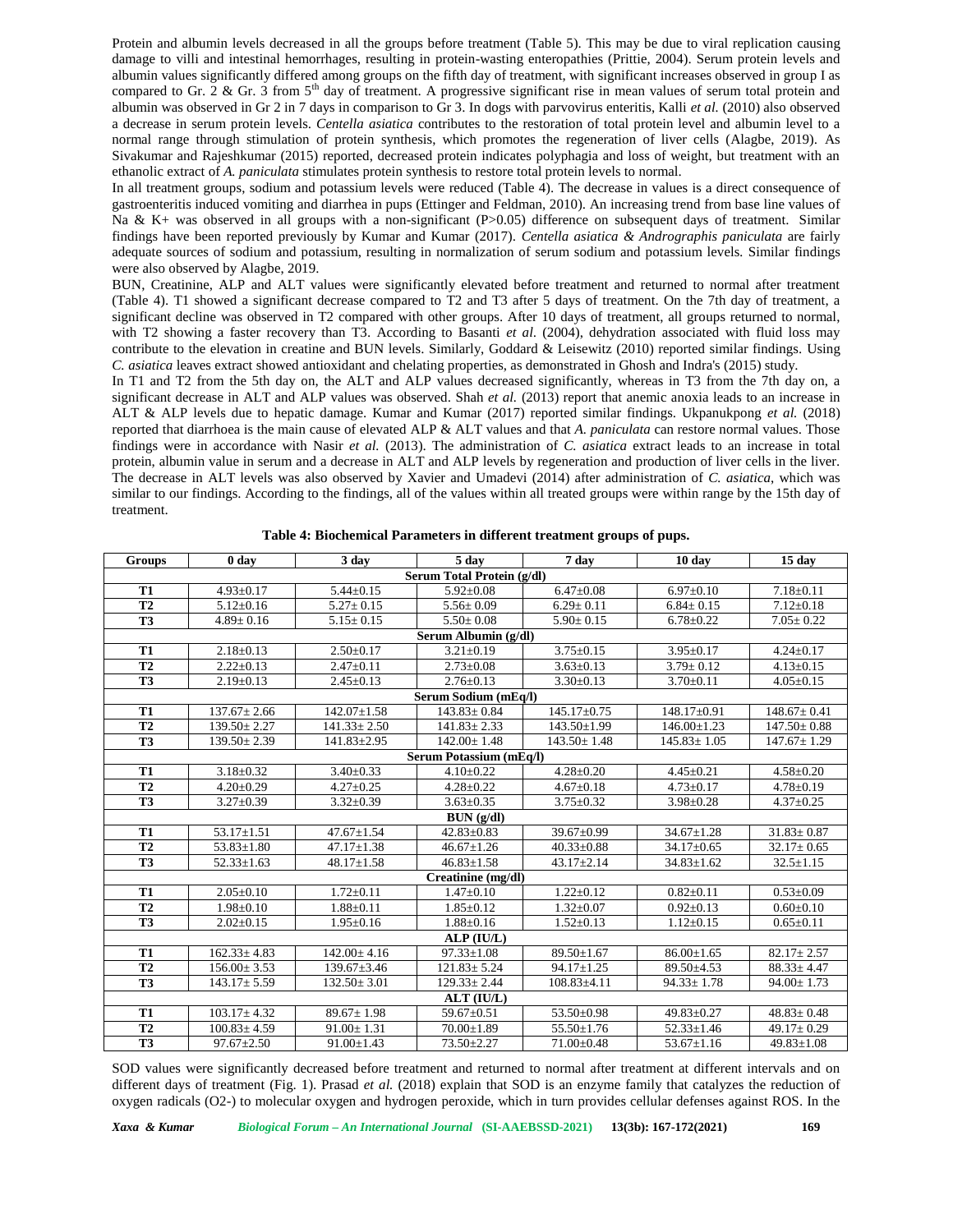Protein and albumin levels decreased in all the groups before treatment (Table 5). This may be due to viral replication causing damage to villi and intestinal hemorrhages, resulting in protein-wasting enteropathies (Prittie, 2004). Serum protein levels and albumin values significantly differed among groups on the fifth day of treatment, with significant increases observed in group I as compared to Gr. 2 & Gr. 3 from  $5<sup>th</sup>$  day of treatment. A progressive significant rise in mean values of serum total protein and albumin was observed in Gr 2 in 7 days in comparison to Gr 3. In dogs with parvovirus enteritis, Kalli *et al.* (2010) also observed a decrease in serum protein levels. *Centella asiatica* contributes to the restoration of total protein level and albumin level to a normal range through stimulation of protein synthesis, which promotes the regeneration of liver cells (Alagbe, 2019). As Sivakumar and Rajeshkumar (2015) reported, decreased protein indicates polyphagia and loss of weight, but treatment with an ethanolic extract of *A. paniculata* stimulates protein synthesis to restore total protein levels to normal.

In all treatment groups, sodium and potassium levels were reduced (Table 4). The decrease in values is a direct consequence of gastroenteritis induced vomiting and diarrhea in pups (Ettinger and Feldman, 2010). An increasing trend from base line values of Na & K+ was observed in all groups with a non-significant (P $>0.05$ ) difference on subsequent days of treatment. Similar findings have been reported previously by Kumar and Kumar (2017). *Centella asiatica & Andrographis paniculata* are fairly adequate sources of sodium and potassium, resulting in normalization of serum sodium and potassium levels*.* Similar findings were also observed by Alagbe, 2019.

BUN, Creatinine, ALP and ALT values were significantly elevated before treatment and returned to normal after treatment (Table 4). T1 showed a significant decrease compared to T2 and T3 after 5 days of treatment. On the 7th day of treatment, a significant decline was observed in T2 compared with other groups. After 10 days of treatment, all groups returned to normal, with T2 showing a faster recovery than T3. According to Basanti *et al*. (2004), dehydration associated with fluid loss may contribute to the elevation in creatine and BUN levels. Similarly, Goddard & Leisewitz (2010) reported similar findings. Using *C. asiatica* leaves extract showed antioxidant and chelating properties, as demonstrated in Ghosh and Indra's (2015) study.

In T1 and T2 from the 5th day on, the ALT and ALP values decreased significantly, whereas in T3 from the 7th day on, a significant decrease in ALT and ALP values was observed. Shah *et al.* (2013) report that anemic anoxia leads to an increase in ALT & ALP levels due to hepatic damage. Kumar and Kumar (2017) reported similar findings. Ukpanukpong *et al.* (2018) reported that diarrhoea is the main cause of elevated ALP & ALT values and that *A. paniculata* can restore normal values. Those findings were in accordance with Nasir *et al.* (2013). The administration of *C. asiatica* extract leads to an increase in total protein, albumin value in serum and a decrease in ALT and ALP levels by regeneration and production of liver cells in the liver. The decrease in ALT levels was also observed by Xavier and Umadevi (2014) after administration of *C. asiatica*, which was similar to our findings. According to the findings, all of the values within all treated groups were within range by the 15th day of treatment.

| <b>Groups</b>              | 0 day             | 3 day             | 5 day                        | 7 day             | 10 day                    | $15 \text{ day}$  |  |
|----------------------------|-------------------|-------------------|------------------------------|-------------------|---------------------------|-------------------|--|
| Serum Total Protein (g/dl) |                   |                   |                              |                   |                           |                   |  |
| <b>T1</b>                  | $4.93 \pm 0.17$   | $5.44 \pm 0.15$   | $5.92 \pm 0.08$              | $6.47 \pm 0.08$   | $6.97 \pm 0.10$           | $7.18 \pm 0.11$   |  |
| T <sub>2</sub>             | $5.12 \pm 0.16$   | $5.27 \pm 0.15$   | $5.56 \pm 0.09$              | $6.29 \pm 0.11$   | $6.84 \pm 0.15$           | $7.12 \pm 0.18$   |  |
| <b>T3</b>                  | $4.89 \pm 0.16$   | $5.15 \pm 0.15$   | $5.50 \pm 0.08$              | $5.90 \pm 0.15$   | $6.78 \pm 0.22$           | $7.05 \pm 0.22$   |  |
|                            |                   |                   | Serum Albumin (g/dl)         |                   |                           |                   |  |
| T <sub>1</sub>             | $2.18 \pm 0.13$   | $2.50 \pm 0.17$   | $3.21 \pm 0.19$              | $3.75 \pm 0.15$   | $3.95 \pm 0.17$           | $4.24 \pm 0.17$   |  |
| $\overline{\text{T2}}$     | $2.22 \pm 0.13$   | $2.47 \pm 0.11$   | $2.73 \pm 0.08$              | $3.63 \pm 0.13$   | $\frac{1}{3.79 \pm 0.12}$ | $4.13 \pm 0.15$   |  |
| T <sub>3</sub>             | $2.19 \pm 0.13$   | $2.45 \pm 0.13$   | $2.76 \pm 0.13$              | $3.30 \pm 0.13$   | $3.70 \pm 0.11$           | $4.05 \pm 0.15$   |  |
| Serum Sodium (mEq/l)       |                   |                   |                              |                   |                           |                   |  |
| <b>T1</b>                  | $137.67 \pm 2.66$ | $142.07 \pm 1.58$ | $143.83 \pm 0.84$            | $145.17 \pm 0.75$ | $148.17 \pm 0.91$         | $148.67 \pm 0.41$ |  |
| T <sub>2</sub>             | $139.50 \pm 2.27$ | $141.33 \pm 2.50$ | $\overline{141.83} \pm 2.33$ | $143.50 \pm 1.99$ | $146.00 \pm 1.23$         | $147.50 \pm 0.88$ |  |
| T <sub>3</sub>             | $139.50 \pm 2.39$ | $141.83 \pm 2.95$ | $142.00 \pm 1.48$            | $143.50 \pm 1.48$ | $145.83 \pm 1.05$         | $147.67 \pm 1.29$ |  |
|                            |                   |                   | Serum Potassium (mEq/l)      |                   |                           |                   |  |
| <b>T1</b>                  | $3.18 \pm 0.32$   | $3.40 \pm 0.33$   | $4.10 \pm 0.22$              | $4.28 \pm 0.20$   | $4.45 \pm 0.21$           | $4.58 \pm 0.20$   |  |
| <b>T2</b>                  | $4.20 \pm 0.29$   | $4.27 \pm 0.25$   | $4.28 \pm 0.22$              | $4.67 \pm 0.18$   | $4.73 \pm 0.17$           | $4.78 \pm 0.19$   |  |
| T <sub>3</sub>             | $3.27 \pm 0.39$   | $3.32 \pm 0.39$   | $3.63 \pm 0.35$              | $3.75 \pm 0.32$   | $3.98 \pm 0.28$           | $4.37 \pm 0.25$   |  |
|                            |                   |                   | BUN(g/dl)                    |                   |                           |                   |  |
| <b>T1</b>                  | $53.17 \pm 1.51$  | $47.67 \pm 1.54$  | $42.83 \pm 0.83$             | $39.67 \pm 0.99$  | $34.67 \pm 1.28$          | $31.83 \pm 0.87$  |  |
| <b>T2</b>                  | $53.83 \pm 1.80$  | $47.17 \pm 1.38$  | $46.67 \pm 1.26$             | $40.33 \pm 0.88$  | 34.17±0.65                | $32.17 \pm 0.65$  |  |
| T <sub>3</sub>             | $52.33 \pm 1.63$  | $48.17 \pm 1.58$  | $46.83 \pm 1.58$             | $43.17 \pm 2.14$  | $34.83 \pm 1.62$          | $32.5 \pm 1.15$   |  |
|                            |                   |                   | Creatinine (mg/dl)           |                   |                           |                   |  |
| <b>T1</b>                  | $2.05 \pm 0.10$   | $1.72 \pm 0.11$   | $1.47 \pm 0.10$              | $1.22 \pm 0.12$   | $0.82 \pm 0.11$           | $0.53 \pm 0.09$   |  |
| <b>T2</b>                  | $1.98 \pm 0.10$   | $1.88 \pm 0.11$   | $1.85 \pm 0.12$              | $1.32 \pm 0.07$   | $0.92 \pm 0.13$           | $0.60 \pm 0.10$   |  |
| <b>T3</b>                  | $2.02 \pm 0.15$   | $1.95 \pm 0.16$   | $1.88 \pm 0.16$              | $1.52 \pm 0.13$   | $1.12 \pm 0.15$           | $0.65 \pm 0.11$   |  |
|                            |                   |                   | ALP (IU/L)                   |                   |                           |                   |  |
| <b>T1</b>                  | $162.33 \pm 4.83$ | $142.00 \pm 4.16$ | $97.33 \pm 1.08$             | 89.50±1.67        | $86.00 \pm 1.65$          | $82.17 \pm 2.57$  |  |
| <b>T2</b>                  | $156.00 \pm 3.53$ | 139.67±3.46       | $121.83 \pm 5.24$            | $94.17 \pm 1.25$  | $89.50 \pm 4.53$          | $88.33 \pm 4.47$  |  |
| T <sub>3</sub>             | $143.17 \pm 5.59$ | $132.50 \pm 3.01$ | $129.33 \pm 2.44$            | $108.83{\pm}4.11$ | $94.33 \pm 1.78$          | $94.00 \pm 1.73$  |  |
|                            |                   |                   | ALT (IU/L)                   |                   |                           |                   |  |
| <b>T1</b>                  | $103.17 \pm 4.32$ | $89.67 \pm 1.98$  | $59.67 \pm 0.51$             | $53.50 \pm 0.98$  | $49.83 \pm 0.27$          | $48.83 \pm 0.48$  |  |
| <b>T2</b>                  | $100.83 \pm 4.59$ | $91.00 \pm 1.31$  | $70.00 \pm 1.89$             | $55.50 \pm 1.76$  | $52.33 \pm 1.46$          | $49.17 \pm 0.29$  |  |
| <b>T3</b>                  | $97.67 + 2.50$    | $91.00 + 1.43$    | $73.50 + 2.27$               | $71.00 + 0.48$    | $53.67 \pm 1.16$          | $49.83 + 1.08$    |  |

SOD values were significantly decreased before treatment and returned to normal after treatment at different intervals and on different days of treatment (Fig. 1). Prasad *et al.* (2018) explain that SOD is an enzyme family that catalyzes the reduction of oxygen radicals (O2-) to molecular oxygen and hydrogen peroxide, which in turn provides cellular defenses against ROS. In the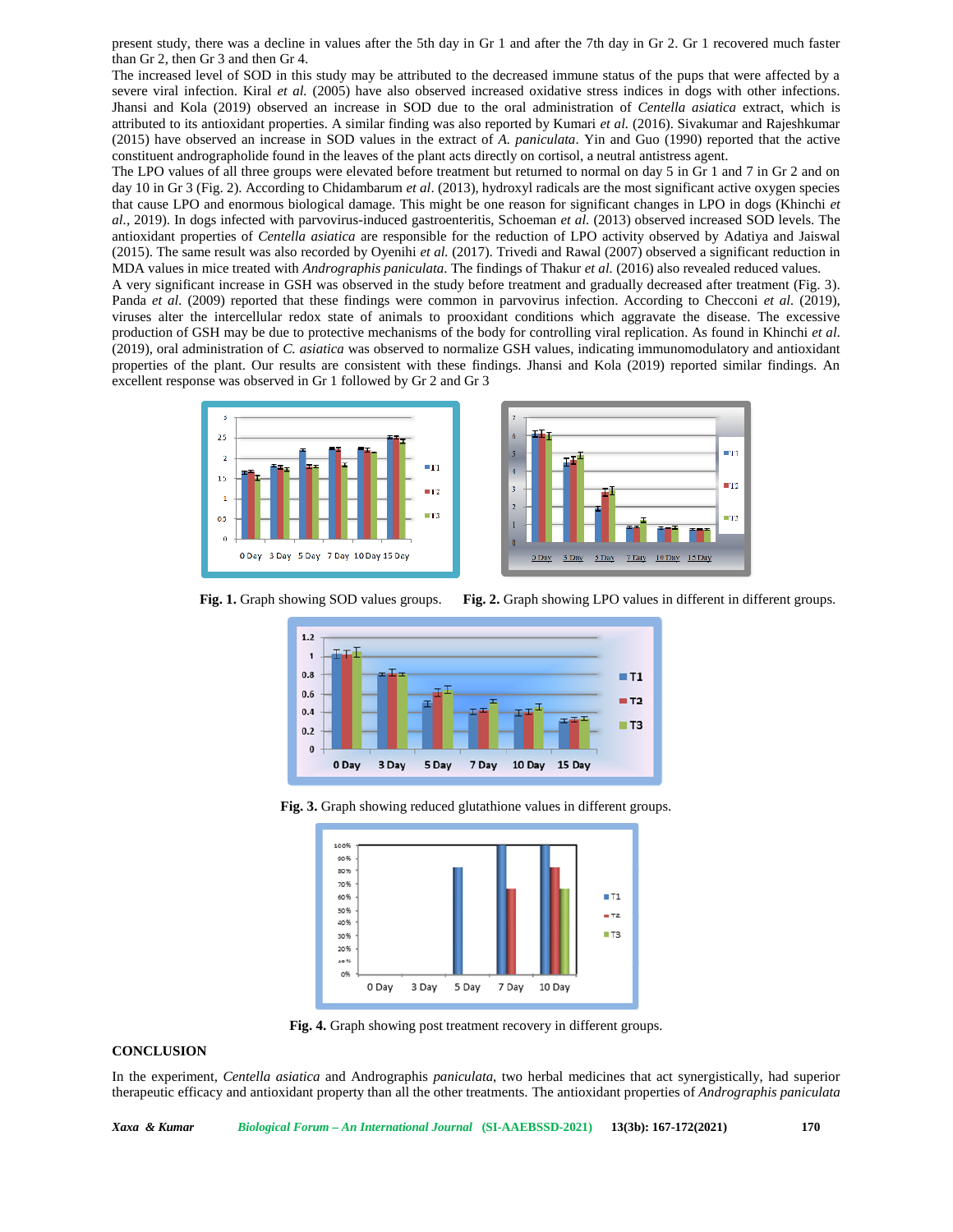present study, there was a decline in values after the 5th day in Gr 1 and after the 7th day in Gr 2. Gr 1 recovered much faster than Gr 2, then Gr 3 and then Gr 4.

The increased level of SOD in this study may be attributed to the decreased immune status of the pups that were affected by a severe viral infection. Kiral *et al.* (2005) have also observed increased oxidative stress indices in dogs with other infections. Jhansi and Kola (2019) observed an increase in SOD due to the oral administration of *Centella asiatica* extract, which is attributed to its antioxidant properties. A similar finding was also reported by Kumari *et al.* (2016). Sivakumar and Rajeshkumar (2015) have observed an increase in SOD values in the extract of *A. paniculata*. Yin and Guo (1990) reported that the active constituent andrographolide found in the leaves of the plant acts directly on cortisol, a neutral antistress agent.

The LPO values of all three groups were elevated before treatment but returned to normal on day 5 in Gr 1 and 7 in Gr 2 and on day 10 in Gr 3 (Fig. 2). According to Chidambarum *et al*. (2013), hydroxyl radicals are the most significant active oxygen species that cause LPO and enormous biological damage. This might be one reason for significant changes in LPO in dogs (Khinchi *et al.,* 2019). In dogs infected with parvovirus-induced gastroenteritis, Schoeman *et al.* (2013) observed increased SOD levels. The antioxidant properties of *Centella asiatica* are responsible for the reduction of LPO activity observed by Adatiya and Jaiswal (2015). The same result was also recorded by Oyenihi *et al.* (2017). Trivedi and Rawal (2007) observed a significant reduction in MDA values in mice treated with *Andrographis paniculata*. The findings of Thakur *et al.* (2016) also revealed reduced values.

A very significant increase in GSH was observed in the study before treatment and gradually decreased after treatment (Fig. 3). Panda *et al.* (2009) reported that these findings were common in parvovirus infection. According to Checconi *et al.* (2019), viruses alter the intercellular redox state of animals to prooxidant conditions which aggravate the disease. The excessive production of GSH may be due to protective mechanisms of the body for controlling viral replication. As found in Khinchi *et al*. (2019), oral administration of *C. asiatica* was observed to normalize GSH values, indicating immunomodulatory and antioxidant properties of the plant. Our results are consistent with these findings. Jhansi and Kola (2019) reported similar findings. An excellent response was observed in Gr 1 followed by Gr 2 and Gr 3





**Fig. 1.** Graph showing SOD values groups. **Fig. 2.** Graph showing LPO values in different in different groups.







**Fig. 4.** Graph showing post treatment recovery in different groups.

## **CONCLUSION**

In the experiment, *Centella asiatica* and Andrographis *paniculata*, two herbal medicines that act synergistically, had superior therapeutic efficacy and antioxidant property than all the other treatments. The antioxidant properties of *Andrographis paniculata*

*Xaxa & Kumar Biological Forum – An International Journal* **(SI-AAEBSSD-2021) 13(3b): 167-172(2021) 170**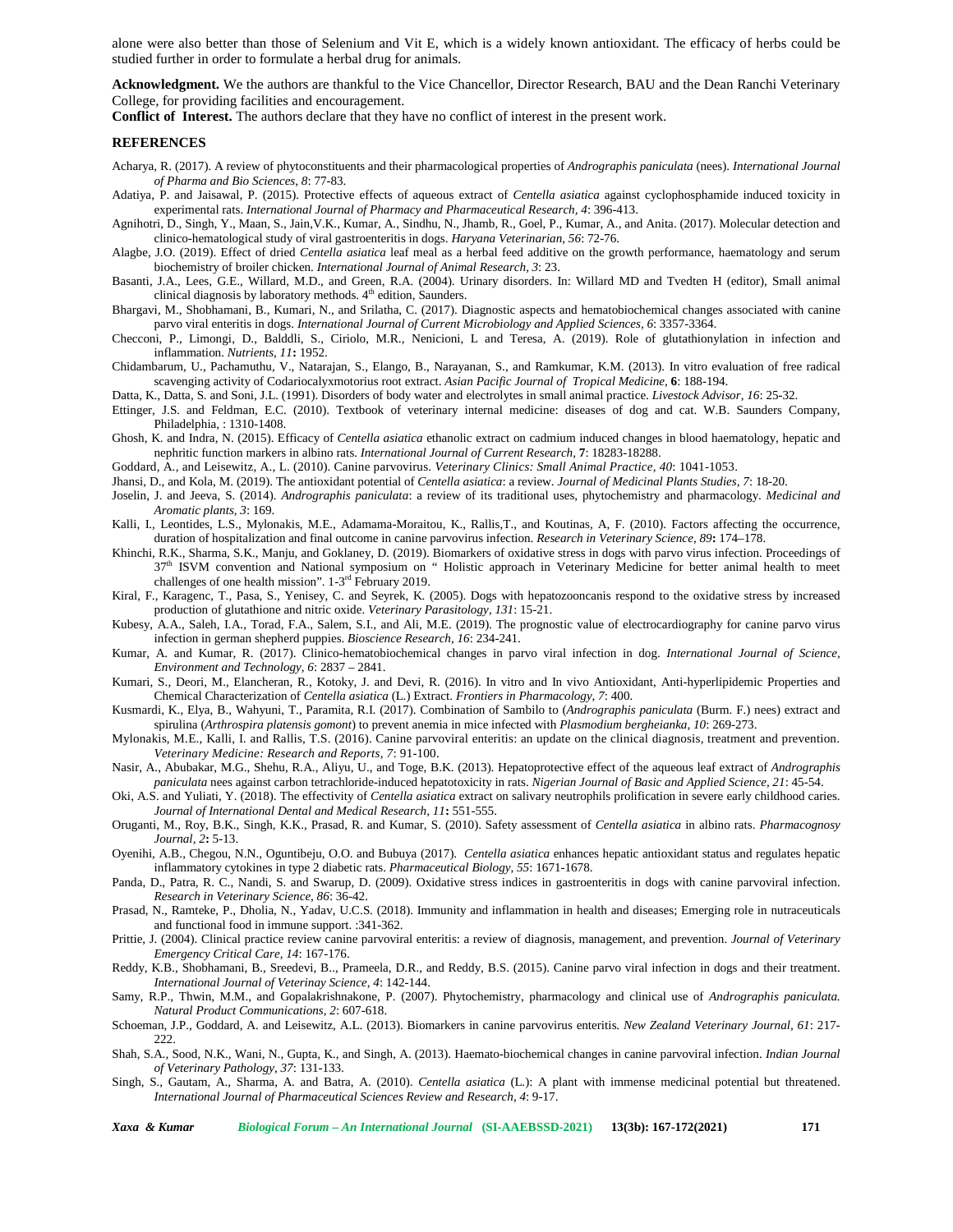alone were also better than those of Selenium and Vit E, which is a widely known antioxidant. The efficacy of herbs could be studied further in order to formulate a herbal drug for animals.

**Acknowledgment.** We the authors are thankful to the Vice Chancellor, Director Research, BAU and the Dean Ranchi Veterinary College, for providing facilities and encouragement.

**Conflict of Interest.** The authors declare that they have no conflict of interest in the present work.

#### **REFERENCES**

- Acharya, R. (2017). A review of phytoconstituents and their pharmacological properties of *Andrographis paniculata* (nees). *International Journal of Pharma and Bio Sciences*, *8*: 77-83.
- Adatiya, P. and Jaisawal, P. (2015). Protective effects of aqueous extract of *Centella asiatica* against cyclophosphamide induced toxicity in experimental rats. *International Journal of Pharmacy and Pharmaceutical Research, 4*: 396-413.
- Agnihotri, D., Singh, Y., Maan, S., Jain,V.K., Kumar, A., Sindhu, N., Jhamb, R., Goel, P., Kumar, A., and Anita. (2017). Molecular detection and clinico-hematological study of viral gastroenteritis in dogs. *Haryana Veterinarian*, *56*: 72-76.
- Alagbe, J.O. (2019). Effect of dried *Centella asiatica* leaf meal as a herbal feed additive on the growth performance, haematology and serum biochemistry of broiler chicken. *International Journal of Animal Research, 3*: 23.
- Basanti, J.A., Lees, G.E., Willard, M.D., and Green, R.A. (2004). Urinary disorders. In: Willard MD and Tvedten H (editor), Small animal clinical diagnosis by laboratory methods.  $4<sup>th</sup>$  edition, Saunders.
- Bhargavi, M., Shobhamani, B., Kumari, N., and Srilatha, C. (2017). Diagnostic aspects and hematobiochemical changes associated with canine parvo viral enteritis in dogs. *International Journal of Current Microbiology and Applied Sciences, 6*: 3357-3364.
- Checconi, P., Limongi, D., Balddli, S., Ciriolo, M.R., Nenicioni, L and Teresa, A. (2019). Role of glutathionylation in infection and inflammation. *Nutrients, 11***:** 1952.
- Chidambarum, U., Pachamuthu, V., Natarajan, S., Elango, B., Narayanan, S., and Ramkumar, K.M. (2013). In vitro evaluation of free radical scavenging activity of Codariocalyxmotorius root extract. *Asian Pacific Journal of Tropical Medicine,* **6**: 188-194.
- Datta, K., Datta, S. and Soni, J.L. (1991). Disorders of body water and electrolytes in small animal practice. *Livestock Advisor, 16*: 25-32.
- Ettinger, J.S. and Feldman, E.C. (2010). Textbook of veterinary internal medicine: diseases of dog and cat. W.B. Saunders Company, Philadelphia, : 1310-1408.
- Ghosh, K. and Indra, N. (2015). Efficacy of *Centella asiatica* ethanolic extract on cadmium induced changes in blood haematology, hepatic and nephritic function markers in albino rats. *International Journal of Current Research,* **7**: 18283-18288.
- Goddard, A., and Leisewitz, A., L. (2010). Canine parvovirus. *Veterinary Clinics: Small Animal Practice, 40*: 1041-1053.
- Jhansi, D., and Kola, M. (2019). The antioxidant potential of *Centella asiatica*: a review. *Journal of Medicinal Plants Studies, 7*: 18-20.
- Joselin, J. and Jeeva, S. (2014). *Andrographis paniculata*: a review of its traditional uses, phytochemistry and pharmacology. *Medicinal and Aromatic plants, 3*: 169.
- Kalli, I., Leontides, L.S., Mylonakis, M.E., Adamama-Moraitou, K., Rallis, T., and Koutinas, A, F. (2010). Factors affecting the occurrence, duration of hospitalization and final outcome in canine parvovirus infection. *Research in Veterinary Science*, *89***:** 174–178.
- Khinchi, R.K., Sharma, S.K., Manju, and Goklaney, D. (2019). Biomarkers of oxidative stress in dogs with parvo virus infection. Proceedings of 37<sup>th</sup> ISVM convention and National symposium on " Holistic approach in Veterinary Medicine for better animal health to meet challenges of one health mission". 1-3<sup>rd</sup> February 2019.
- Kiral, F., Karagenc, T., Pasa, S., Yenisey, C. and Seyrek, K. (2005). Dogs with hepatozooncanis respond to the oxidative stress by increased production of glutathione and nitric oxide. *Veterinary Parasitology, 131*: 15-21.
- Kubesy, A.A., Saleh, I.A., Torad, F.A., Salem, S.I., and Ali, M.E. (2019). The prognostic value of electrocardiography for canine parvo virus infection in german shepherd puppies. *Bioscience Research, 16*: 234-241.
- Kumar, A. and Kumar, R. (2017). Clinico-hematobiochemical changes in parvo viral infection in dog. *International Journal of Science, Environment and Technology*, *6*: 2837 – 2841.
- Kumari, S., Deori, M., Elancheran, R., Kotoky, J. and Devi, R. (2016). In vitro and In vivo Antioxidant, Anti-hyperlipidemic Properties and Chemical Characterization of *Centella asiatica* (L.) Extract. *Frontiers in Pharmacology*, *7*: 400.
- Kusmardi, K., Elya, B., Wahyuni, T., Paramita, R.I. (2017). Combination of Sambilo to (*Andrographis paniculata* (Burm. F.) nees) extract and spirulina (*Arthrospira platensis gomont*) to prevent anemia in mice infected with *Plasmodium bergheianka, 10*: 269-273.
- Mylonakis, M.E., Kalli, I. and Rallis, T.S. (2016). Canine parvoviral enteritis: an update on the clinical diagnosis, treatment and prevention. *Veterinary Medicine: Research and Reports*, *7*: 91-100.
- Nasir, A., Abubakar, M.G., Shehu, R.A., Aliyu, U., and Toge, B.K. (2013). Hepatoprotective effect of the aqueous leaf extract of *Andrographis paniculata* nees against carbon tetrachloride-induced hepatotoxicity in rats. *Nigerian Journal of Basic and Applied Science, 21*: 45-54.
- Oki, A.S. and Yuliati, Y. (2018). The effectivity of *Centella asiatica* extract on salivary neutrophils prolification in severe early childhood caries. *Journal of International Dental and Medical Research, 11***:** 551-555.
- Oruganti, M., Roy, B.K., Singh, K.K., Prasad, R. and Kumar, S. (2010). Safety assessment of *Centella asiatica* in albino rats. *Pharmacognosy Journal, 2***:** 5-13.
- Oyenihi, A.B., Chegou, N.N., Oguntibeju, O.O. and Bubuya (2017). *Centella asiatica* enhances hepatic antioxidant status and regulates hepatic inflammatory cytokines in type 2 diabetic rats. *Pharmaceutical Biology, 55*: 1671-1678.
- Panda, D., Patra, R. C., Nandi, S. and Swarup, D. (2009). Oxidative stress indices in gastroenteritis in dogs with canine parvoviral infection. *Research in Veterinary Science*, *86*: 36-42.
- Prasad, N., Ramteke, P., Dholia, N., Yadav, U.C.S. (2018). Immunity and inflammation in health and diseases; Emerging role in nutraceuticals and functional food in immune support. :341-362.
- Prittie, J. (2004). Clinical practice review canine parvoviral enteritis: a review of diagnosis, management, and prevention. *Journal of Veterinary Emergency Critical Care*, *14*: 167-176.
- Reddy, K.B., Shobhamani, B., Sreedevi, B.., Prameela, D.R., and Reddy, B.S. (2015). Canine parvo viral infection in dogs and their treatment. *International Journal of Veterinay Science, 4*: 142-144.
- Samy, R.P., Thwin, M.M., and Gopalakrishnakone, P. (2007). Phytochemistry, pharmacology and clinical use of *Andrographis paniculata. Natural Product Communications, 2*: 607-618.
- Schoeman, J.P., Goddard, A. and Leisewitz, A.L. (2013). Biomarkers in canine parvovirus enteritis. *New Zealand Veterinary Journal, 61*: 217- 222.
- Shah, S.A., Sood, N.K., Wani, N., Gupta, K., and Singh, A. (2013). Haemato-biochemical changes in canine parvoviral infection. *Indian Journal of Veterinary Pathology*, *37*: 131-133.
- Singh, S., Gautam, A., Sharma, A. and Batra, A. (2010). *Centella asiatica* (L.): A plant with immense medicinal potential but threatened. *International Journal of Pharmaceutical Sciences Review and Research*, *4*: 9-17.